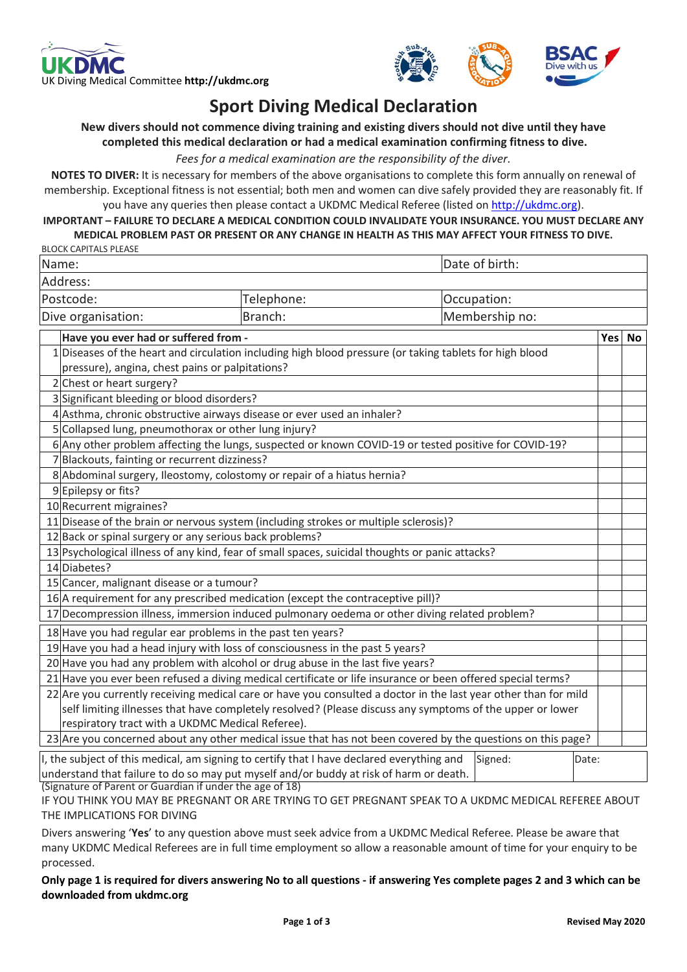



## **Sport Diving Medical Declaration**

## **New divers should not commence diving training and existing divers should not dive until they have completed this medical declaration or had a medical examination confirming fitness to dive.**

*Fees for a medical examination are the responsibility of the diver.*

**NOTES TO DIVER:** It is necessary for members of the above organisations to complete this form annually on renewal of membership. Exceptional fitness is not essential; both men and women can dive safely provided they are reasonably fit. If you have any queries then please contact a UKDMC Medical Referee (listed on [http://ukdmc.org\)](http://ukdmc.org/).

**IMPORTANT – FAILURE TO DECLARE A MEDICAL CONDITION COULD INVALIDATE YOUR INSURANCE. YOU MUST DECLARE ANY MEDICAL PROBLEM PAST OR PRESENT OR ANY CHANGE IN HEALTH AS THIS MAY AFFECT YOUR FITNESS TO DIVE.**

|                                       |                                                                                                             | MEDICAL PROBLEM PAST OR PRESENT OR ANY CHANGE IN HEALTH AS THIS MAY AFFECT YOUR FITNESS TO DIVE.                |
|---------------------------------------|-------------------------------------------------------------------------------------------------------------|-----------------------------------------------------------------------------------------------------------------|
| <b>BLOCK CAPITALS PLEASE</b><br>Name: |                                                                                                             | Date of birth:                                                                                                  |
| Address:                              |                                                                                                             |                                                                                                                 |
|                                       |                                                                                                             |                                                                                                                 |
| Postcode:                             | Telephone:                                                                                                  | Occupation:                                                                                                     |
| Dive organisation:                    | Branch:                                                                                                     | Membership no:                                                                                                  |
|                                       | Have you ever had or suffered from -                                                                        | Yes No                                                                                                          |
|                                       | 1 Diseases of the heart and circulation including high blood pressure (or taking tablets for high blood     |                                                                                                                 |
|                                       | pressure), angina, chest pains or palpitations?                                                             |                                                                                                                 |
| 2 Chest or heart surgery?             |                                                                                                             |                                                                                                                 |
|                                       | 3 Significant bleeding or blood disorders?                                                                  |                                                                                                                 |
|                                       | 4 Asthma, chronic obstructive airways disease or ever used an inhaler?                                      |                                                                                                                 |
|                                       | 5 Collapsed lung, pneumothorax or other lung injury?                                                        |                                                                                                                 |
|                                       | 6 Any other problem affecting the lungs, suspected or known COVID-19 or tested positive for COVID-19?       |                                                                                                                 |
|                                       | 7 Blackouts, fainting or recurrent dizziness?                                                               |                                                                                                                 |
|                                       | 8 Abdominal surgery, Ileostomy, colostomy or repair of a hiatus hernia?                                     |                                                                                                                 |
| 9 Epilepsy or fits?                   |                                                                                                             |                                                                                                                 |
| 10 Recurrent migraines?               |                                                                                                             |                                                                                                                 |
|                                       | 11 Disease of the brain or nervous system (including strokes or multiple sclerosis)?                        |                                                                                                                 |
|                                       | 12 Back or spinal surgery or any serious back problems?                                                     |                                                                                                                 |
|                                       | 13 Psychological illness of any kind, fear of small spaces, suicidal thoughts or panic attacks?             |                                                                                                                 |
| 14 Diabetes?                          |                                                                                                             |                                                                                                                 |
|                                       | 15 Cancer, malignant disease or a tumour?                                                                   |                                                                                                                 |
|                                       | 16 A requirement for any prescribed medication (except the contraceptive pill)?                             |                                                                                                                 |
|                                       | 17 Decompression illness, immersion induced pulmonary oedema or other diving related problem?               |                                                                                                                 |
|                                       | 18 Have you had regular ear problems in the past ten years?                                                 |                                                                                                                 |
|                                       | 19 Have you had a head injury with loss of consciousness in the past 5 years?                               |                                                                                                                 |
|                                       | 20 Have you had any problem with alcohol or drug abuse in the last five years?                              |                                                                                                                 |
|                                       | 21 Have you ever been refused a diving medical certificate or life insurance or been offered special terms? |                                                                                                                 |
|                                       |                                                                                                             | 22 Are you currently receiving medical care or have you consulted a doctor in the last year other than for mild |
|                                       | self limiting illnesses that have completely resolved? (Please discuss any symptoms of the upper or lower   |                                                                                                                 |
|                                       | respiratory tract with a UKDMC Medical Referee).                                                            |                                                                                                                 |

23 Are you concerned about any other medical issue that has not been covered by the questions on this page? I, the subject of this medical, am signing to certify that I have declared everything and understand that failure to do so may put myself and/or buddy at risk of harm or death. Signed: Date:

(Signature of Parent or Guardian if under the age of 18)

IF YOU THINK YOU MAY BE PREGNANT OR ARE TRYING TO GET PREGNANT SPEAK TO A UKDMC MEDICAL REFEREE ABOUT THE IMPLICATIONS FOR DIVING

Divers answering '**Yes**' to any question above must seek advice from a UKDMC Medical Referee. Please be aware that many UKDMC Medical Referees are in full time employment so allow a reasonable amount of time for your enquiry to be processed.

**Only page 1 is required for divers answering No to all questions - if answering Yes complete pages 2 and 3 which can be downloaded from ukdmc.org**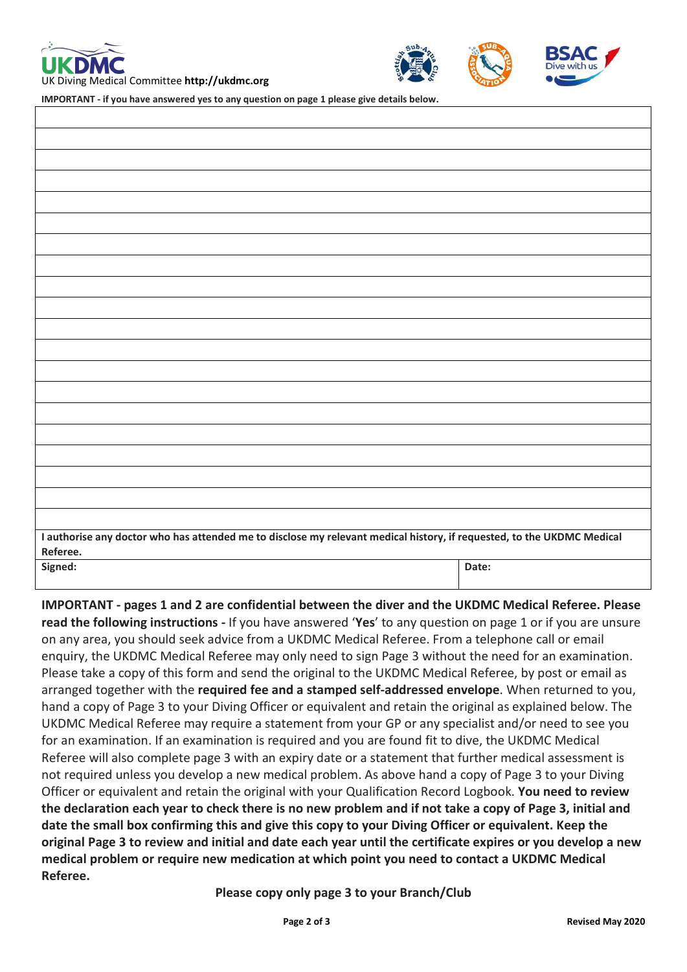



**IMPORTANT - if you have answered yes to any question on page 1 please give details below.** 

| I authorise any doctor who has attended me to disclose my relevant medical history, if requested, to the UKDMC Medical |       |  |  |  |  |  |
|------------------------------------------------------------------------------------------------------------------------|-------|--|--|--|--|--|
| Referee.<br>Signed:                                                                                                    | Date: |  |  |  |  |  |
|                                                                                                                        |       |  |  |  |  |  |

**IMPORTANT - pages 1 and 2 are confidential between the diver and the UKDMC Medical Referee. Please read the following instructions -** If you have answered '**Yes**' to any question on page 1 or if you are unsure on any area, you should seek advice from a UKDMC Medical Referee. From a telephone call or email enquiry, the UKDMC Medical Referee may only need to sign Page 3 without the need for an examination. Please take a copy of this form and send the original to the UKDMC Medical Referee, by post or email as arranged together with the **required fee and a stamped self-addressed envelope**. When returned to you, hand a copy of Page 3 to your Diving Officer or equivalent and retain the original as explained below. The UKDMC Medical Referee may require a statement from your GP or any specialist and/or need to see you for an examination. If an examination is required and you are found fit to dive, the UKDMC Medical Referee will also complete page 3 with an expiry date or a statement that further medical assessment is not required unless you develop a new medical problem. As above hand a copy of Page 3 to your Diving Officer or equivalent and retain the original with your Qualification Record Logbook. **You need to review the declaration each year to check there is no new problem and if not take a copy of Page 3, initial and date the small box confirming this and give this copy to your Diving Officer or equivalent. Keep the original Page 3 to review and initial and date each year until the certificate expires or you develop a new medical problem or require new medication at which point you need to contact a UKDMC Medical Referee.**

## **Please copy only page 3 to your Branch/Club**